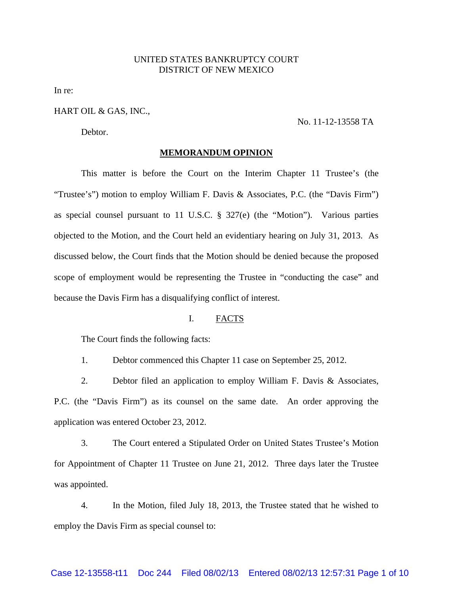# UNITED STATES BANKRUPTCY COURT DISTRICT OF NEW MEXICO

In re:

## HART OIL & GAS, INC.,

Debtor.

# No. 11-12-13558 TA

#### **MEMORANDUM OPINION**

This matter is before the Court on the Interim Chapter 11 Trustee's (the "Trustee's") motion to employ William F. Davis & Associates, P.C. (the "Davis Firm") as special counsel pursuant to 11 U.S.C. § 327(e) (the "Motion"). Various parties objected to the Motion, and the Court held an evidentiary hearing on July 31, 2013. As discussed below, the Court finds that the Motion should be denied because the proposed scope of employment would be representing the Trustee in "conducting the case" and because the Davis Firm has a disqualifying conflict of interest.

# I. FACTS

The Court finds the following facts:

1. Debtor commenced this Chapter 11 case on September 25, 2012.

2. Debtor filed an application to employ William F. Davis & Associates, P.C. (the "Davis Firm") as its counsel on the same date. An order approving the application was entered October 23, 2012.

3. The Court entered a Stipulated Order on United States Trustee's Motion for Appointment of Chapter 11 Trustee on June 21, 2012. Three days later the Trustee was appointed.

4. In the Motion, filed July 18, 2013, the Trustee stated that he wished to employ the Davis Firm as special counsel to: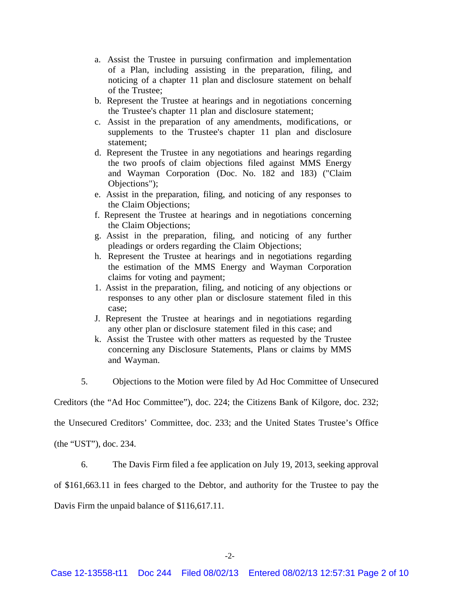- a. Assist the Trustee in pursuing confirmation and implementation of a Plan, including assisting in the preparation, filing, and noticing of a chapter 11 plan and disclosure statement on behalf of the Trustee;
- b. Represent the Trustee at hearings and in negotiations concerning the Trustee's chapter 11 plan and disclosure statement;
- c. Assist in the preparation of any amendments, modifications, or supplements to the Trustee's chapter 11 plan and disclosure statement;
- d. Represent the Trustee in any negotiations and hearings regarding the two proofs of claim objections filed against MMS Energy and Wayman Corporation (Doc. No. 182 and 183) ("Claim Objections");
- e. Assist in the preparation, filing, and noticing of any responses to the Claim Objections;
- f. Represent the Trustee at hearings and in negotiations concerning the Claim Objections;
- g. Assist in the preparation, filing, and noticing of any further pleadings or orders regarding the Claim Objections;
- h. Represent the Trustee at hearings and in negotiations regarding the estimation of the MMS Energy and Wayman Corporation claims for voting and payment;
- 1. Assist in the preparation, filing, and noticing of any objections or responses to any other plan or disclosure statement filed in this case;
- J. Represent the Trustee at hearings and in negotiations regarding any other plan or disclosure statement filed in this case; and
- k. Assist the Trustee with other matters as requested by the Trustee concerning any Disclosure Statements, Plans or claims by MMS and Wayman.
- 5. Objections to the Motion were filed by Ad Hoc Committee of Unsecured

Creditors (the "Ad Hoc Committee"), doc. 224; the Citizens Bank of Kilgore, doc. 232;

the Unsecured Creditors' Committee, doc. 233; and the United States Trustee's Office

(the "UST"), doc. 234.

6. The Davis Firm filed a fee application on July 19, 2013, seeking approval

of \$161,663.11 in fees charged to the Debtor, and authority for the Trustee to pay the

Davis Firm the unpaid balance of \$116,617.11.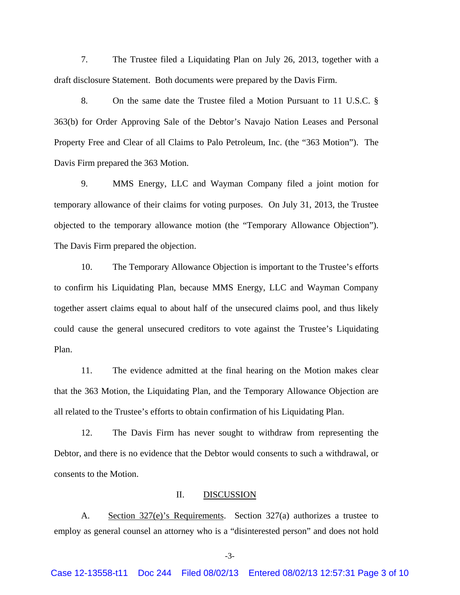7. The Trustee filed a Liquidating Plan on July 26, 2013, together with a draft disclosure Statement. Both documents were prepared by the Davis Firm.

8. On the same date the Trustee filed a Motion Pursuant to 11 U.S.C. § 363(b) for Order Approving Sale of the Debtor's Navajo Nation Leases and Personal Property Free and Clear of all Claims to Palo Petroleum, Inc. (the "363 Motion"). The Davis Firm prepared the 363 Motion.

9. MMS Energy, LLC and Wayman Company filed a joint motion for temporary allowance of their claims for voting purposes. On July 31, 2013, the Trustee objected to the temporary allowance motion (the "Temporary Allowance Objection"). The Davis Firm prepared the objection.

10. The Temporary Allowance Objection is important to the Trustee's efforts to confirm his Liquidating Plan, because MMS Energy, LLC and Wayman Company together assert claims equal to about half of the unsecured claims pool, and thus likely could cause the general unsecured creditors to vote against the Trustee's Liquidating Plan.

11. The evidence admitted at the final hearing on the Motion makes clear that the 363 Motion, the Liquidating Plan, and the Temporary Allowance Objection are all related to the Trustee's efforts to obtain confirmation of his Liquidating Plan.

12. The Davis Firm has never sought to withdraw from representing the Debtor, and there is no evidence that the Debtor would consents to such a withdrawal, or consents to the Motion.

### II. DISCUSSION

A. Section 327(e)'s Requirements. Section 327(a) authorizes a trustee to employ as general counsel an attorney who is a "disinterested person" and does not hold

-3-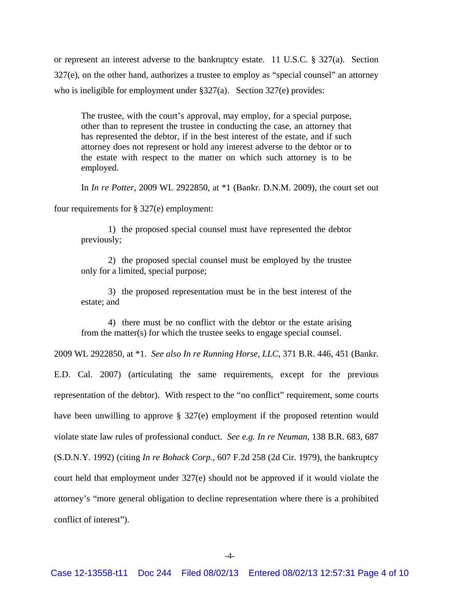or represent an interest adverse to the bankruptcy estate. 11 U.S.C. § 327(a). Section 327(e), on the other hand, authorizes a trustee to employ as "special counsel" an attorney who is ineligible for employment under §327(a). Section 327(e) provides:

The trustee, with the court's approval, may employ, for a special purpose, other than to represent the trustee in conducting the case, an attorney that has represented the debtor, if in the best interest of the estate, and if such attorney does not represent or hold any interest adverse to the debtor or to the estate with respect to the matter on which such attorney is to be employed.

In *In re Potter*, 2009 WL 2922850, at \*1 (Bankr. D.N.M. 2009), the court set out

four requirements for § 327(e) employment:

1) the proposed special counsel must have represented the debtor previously;

2) the proposed special counsel must be employed by the trustee only for a limited, special purpose;

3) the proposed representation must be in the best interest of the estate; and

4) there must be no conflict with the debtor or the estate arising from the matter(s) for which the trustee seeks to engage special counsel.

2009 WL 2922850, at \*1. *See also In re Running Horse, LLC*, 371 B.R. 446, 451 (Bankr.

E.D. Cal. 2007) (articulating the same requirements, except for the previous representation of the debtor). With respect to the "no conflict" requirement, some courts have been unwilling to approve § 327(e) employment if the proposed retention would violate state law rules of professional conduct. *See e.g. In re Neuman,* 138 B.R. 683, 687 (S.D.N.Y. 1992) (citing *In re Bohack Corp.,* 607 F.2d 258 (2d Cir. 1979), the bankruptcy court held that employment under 327(e) should not be approved if it would violate the attorney's "more general obligation to decline representation where there is a prohibited conflict of interest").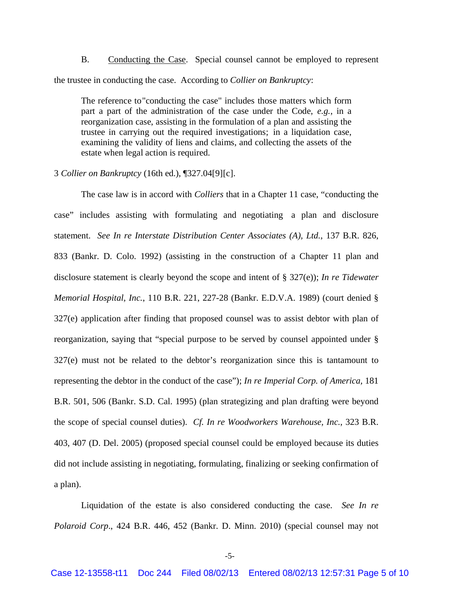B. Conducting the Case. Special counsel cannot be employed to represent the trustee in conducting the case. According to *Collier on Bankruptcy*:

The reference to "conducting the case" includes those matters which form part a part of the administration of the case under the Code, *e.g.*, in a reorganization case, assisting in the formulation of a plan and assisting the trustee in carrying out the required investigations; in a liquidation case, examining the validity of liens and claims, and collecting the assets of the estate when legal action is required.

## 3 *Collier on Bankruptcy* (16th ed.), ¶327.04[9][c].

The case law is in accord with *Colliers* that in a Chapter 11 case, "conducting the case" includes assisting with formulating and negotiating a plan and disclosure statement. *See In re Interstate Distribution Center Associates (A), Ltd.*, 137 B.R. 826, 833 (Bankr. D. Colo. 1992) (assisting in the construction of a Chapter 11 plan and disclosure statement is clearly beyond the scope and intent of § 327(e)); *In re Tidewater Memorial Hospital, Inc.*, 110 B.R. 221, 227-28 (Bankr. E.D.V.A. 1989) (court denied § 327(e) application after finding that proposed counsel was to assist debtor with plan of reorganization, saying that "special purpose to be served by counsel appointed under § 327(e) must not be related to the debtor's reorganization since this is tantamount to representing the debtor in the conduct of the case"); *In re Imperial Corp. of America,* 181 B.R. 501, 506 (Bankr. S.D. Cal. 1995) (plan strategizing and plan drafting were beyond the scope of special counsel duties). *Cf. In re Woodworkers Warehouse, Inc.*, 323 B.R. 403, 407 (D. Del. 2005) (proposed special counsel could be employed because its duties did not include assisting in negotiating, formulating, finalizing or seeking confirmation of a plan).

Liquidation of the estate is also considered conducting the case. *See In re Polaroid Corp*., 424 B.R. 446, 452 (Bankr. D. Minn. 2010) (special counsel may not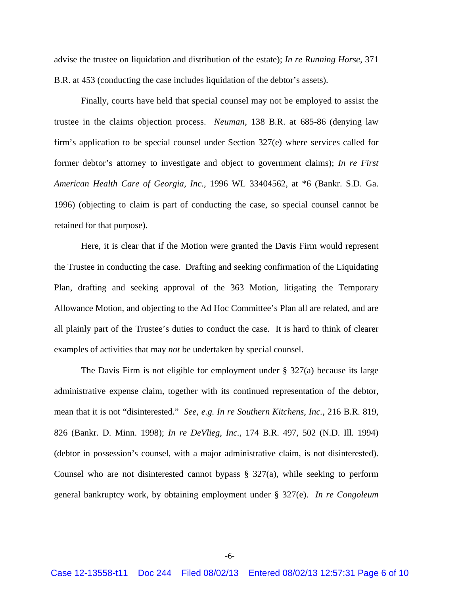advise the trustee on liquidation and distribution of the estate); *In re Running Horse,* 371 B.R. at 453 (conducting the case includes liquidation of the debtor's assets).

Finally, courts have held that special counsel may not be employed to assist the trustee in the claims objection process. *Neuman*, 138 B.R. at 685-86 (denying law firm's application to be special counsel under Section 327(e) where services called for former debtor's attorney to investigate and object to government claims); *In re First American Health Care of Georgia, Inc.,* 1996 WL 33404562, at \*6 (Bankr. S.D. Ga. 1996) (objecting to claim is part of conducting the case, so special counsel cannot be retained for that purpose).

Here, it is clear that if the Motion were granted the Davis Firm would represent the Trustee in conducting the case. Drafting and seeking confirmation of the Liquidating Plan, drafting and seeking approval of the 363 Motion, litigating the Temporary Allowance Motion, and objecting to the Ad Hoc Committee's Plan all are related, and are all plainly part of the Trustee's duties to conduct the case. It is hard to think of clearer examples of activities that may *not* be undertaken by special counsel.

The Davis Firm is not eligible for employment under  $\S$  327(a) because its large administrative expense claim, together with its continued representation of the debtor, mean that it is not "disinterested." *See, e.g. In re Southern Kitchens, Inc.*, 216 B.R. 819, 826 (Bankr. D. Minn. 1998); *In re DeVlieg, Inc.,* 174 B.R. 497, 502 (N.D. Ill. 1994) (debtor in possession's counsel, with a major administrative claim, is not disinterested). Counsel who are not disinterested cannot bypass  $\S$  327(a), while seeking to perform general bankruptcy work, by obtaining employment under § 327(e). *In re Congoleum*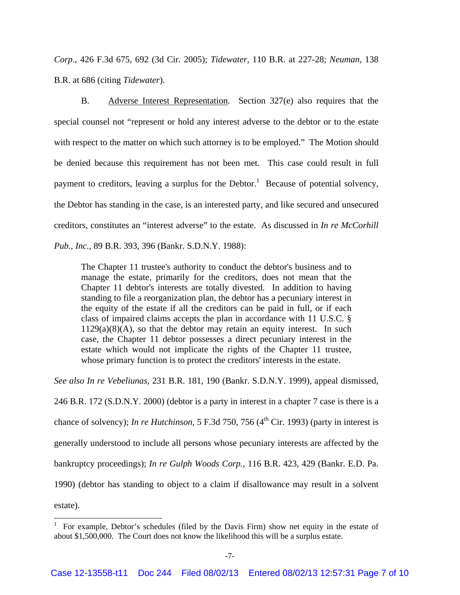*Corp*., 426 F.3d 675, 692 (3d Cir. 2005); *Tidewater,* 110 B.R. at 227-28; *Neuman,* 138 B.R. at 686 (citing *Tidewater*).

B. Adverse Interest Representation. Section 327(e) also requires that the special counsel not "represent or hold any interest adverse to the debtor or to the estate with respect to the matter on which such attorney is to be employed." The Motion should be denied because this requirement has not been met. This case could result in full payment to creditors, leaving a surplus for the Debtor.<sup>1</sup> Because of potential solvency, the Debtor has standing in the case, is an interested party, and like secured and unsecured creditors, constitutes an "interest adverse" to the estate. As discussed in *In re McCorhill Pub., Inc.,* 89 B.R. 393, 396 (Bankr. S.D.N.Y. 1988):

The Chapter 11 trustee's authority to conduct the debtor's business and to manage the estate, primarily for the creditors, does not mean that the Chapter 11 debtor's interests are totally divested. In addition to having standing to file a reorganization plan, the debtor has a pecuniary interest in the equity of the estate if all the creditors can be paid in full, or if each class of impaired claims accepts the plan in accordance with 11 U.S.C. §  $1129(a)(8)(A)$ , so that the debtor may retain an equity interest. In such case, the Chapter 11 debtor possesses a direct pecuniary interest in the estate which would not implicate the rights of the Chapter 11 trustee, whose primary function is to protect the creditors' interests in the estate.

*See also In re Vebeliunas,* 231 B.R. 181, 190 (Bankr. S.D.N.Y. 1999), appeal dismissed,

246 B.R. 172 (S.D.N.Y. 2000) (debtor is a party in interest in a chapter 7 case is there is a chance of solvency); *In re Hutchinson*, 5 F.3d 750, 756 (4<sup>th</sup> Cir. 1993) (party in interest is generally understood to include all persons whose pecuniary interests are affected by the bankruptcy proceedings); *In re Gulph Woods Corp.,* 116 B.R. 423, 429 (Bankr. E.D. Pa. 1990) (debtor has standing to object to a claim if disallowance may result in a solvent estate).

<sup>&</sup>lt;sup>1</sup> For example, Debtor's schedules (filed by the Davis Firm) show net equity in the estate of about \$1,500,000. The Court does not know the likelihood this will be a surplus estate.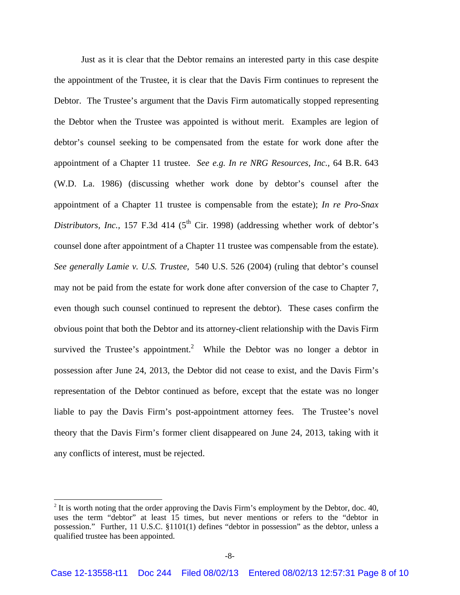Just as it is clear that the Debtor remains an interested party in this case despite the appointment of the Trustee, it is clear that the Davis Firm continues to represent the Debtor. The Trustee's argument that the Davis Firm automatically stopped representing the Debtor when the Trustee was appointed is without merit. Examples are legion of debtor's counsel seeking to be compensated from the estate for work done after the appointment of a Chapter 11 trustee. *See e.g. In re NRG Resources, Inc.,* 64 B.R. 643 (W.D. La. 1986) (discussing whether work done by debtor's counsel after the appointment of a Chapter 11 trustee is compensable from the estate); *In re Pro-Snax Distributors, Inc.,* 157 F.3d 414 (5<sup>th</sup> Cir. 1998) (addressing whether work of debtor's counsel done after appointment of a Chapter 11 trustee was compensable from the estate). *See generally Lamie v. U.S. Trustee,* 540 U.S. 526 (2004) (ruling that debtor's counsel may not be paid from the estate for work done after conversion of the case to Chapter 7, even though such counsel continued to represent the debtor). These cases confirm the obvious point that both the Debtor and its attorney-client relationship with the Davis Firm survived the Trustee's appointment.<sup>2</sup> While the Debtor was no longer a debtor in possession after June 24, 2013, the Debtor did not cease to exist, and the Davis Firm's representation of the Debtor continued as before, except that the estate was no longer liable to pay the Davis Firm's post-appointment attorney fees. The Trustee's novel theory that the Davis Firm's former client disappeared on June 24, 2013, taking with it any conflicts of interest, must be rejected.

 $\overline{a}$ 

 $2$  It is worth noting that the order approving the Davis Firm's employment by the Debtor, doc. 40, uses the term "debtor" at least 15 times, but never mentions or refers to the "debtor in possession." Further, 11 U.S.C. §1101(1) defines "debtor in possession" as the debtor, unless a qualified trustee has been appointed.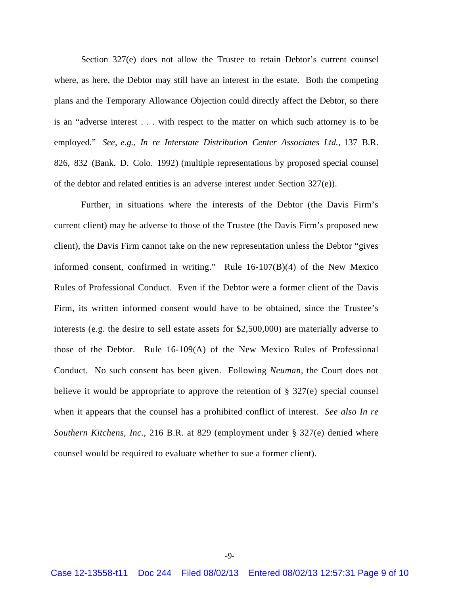Section 327(e) does not allow the Trustee to retain Debtor's current counsel where, as here, the Debtor may still have an interest in the estate. Both the competing plans and the Temporary Allowance Objection could directly affect the Debtor, so there is an "adverse interest . . . with respect to the matter on which such attorney is to be employed." *See, e.g., In re Interstate Distribution Center Associates Ltd.,* 137 B.R. 826, 832 (Bank. D. Colo. 1992) (multiple representations by proposed special counsel of the debtor and related entities is an adverse interest under Section 327(e)).

Further, in situations where the interests of the Debtor (the Davis Firm's current client) may be adverse to those of the Trustee (the Davis Firm's proposed new client), the Davis Firm cannot take on the new representation unless the Debtor "gives informed consent, confirmed in writing." Rule 16-107(B)(4) of the New Mexico Rules of Professional Conduct. Even if the Debtor were a former client of the Davis Firm, its written informed consent would have to be obtained, since the Trustee's interests (e.g. the desire to sell estate assets for \$2,500,000) are materially adverse to those of the Debtor. Rule 16-109(A) of the New Mexico Rules of Professional Conduct. No such consent has been given. Following *Neuman*, the Court does not believe it would be appropriate to approve the retention of  $\S 327(e)$  special counsel when it appears that the counsel has a prohibited conflict of interest. *See also In re Southern Kitchens, Inc.*, 216 B.R. at 829 (employment under § 327(e) denied where counsel would be required to evaluate whether to sue a former client).